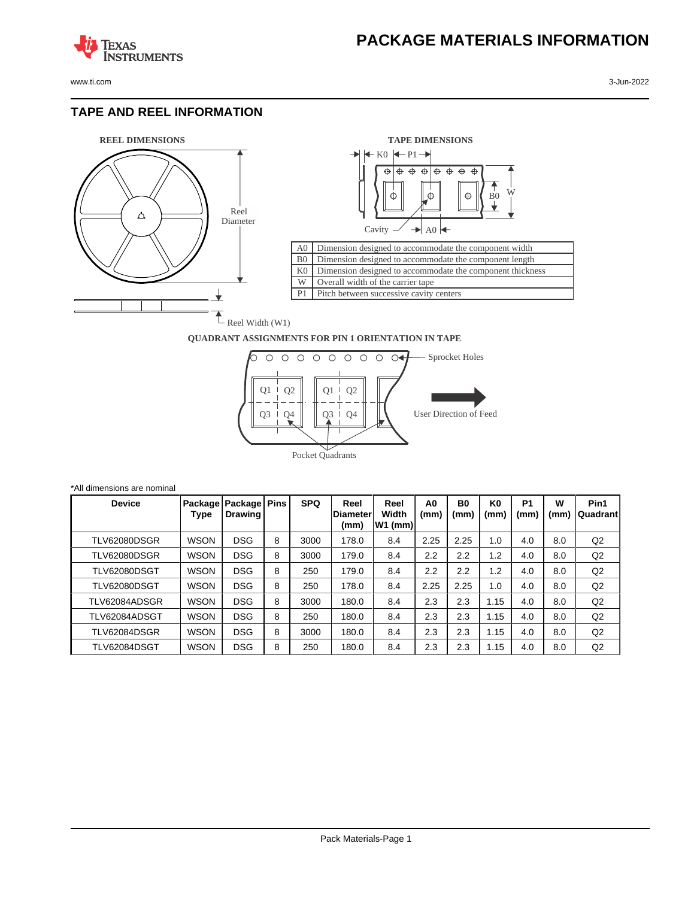**TEXAS** 

## **TAPE AND REEL INFORMATION**

**ISTRUMENTS** 





## **QUADRANT ASSIGNMENTS FOR PIN 1 ORIENTATION IN TAPE**



| *All dimensions are nominal |               |             |                                     |   |            |                                  |                            |                        |                        |                        |                        |           |                   |
|-----------------------------|---------------|-------------|-------------------------------------|---|------------|----------------------------------|----------------------------|------------------------|------------------------|------------------------|------------------------|-----------|-------------------|
|                             | <b>Device</b> | Type        | Package   Package   Pins<br>Drawing |   | <b>SPQ</b> | Reel<br><b>IDiameter</b><br>(mm) | Reel<br>Width<br>$W1$ (mm) | A <sub>0</sub><br>(mm) | B <sub>0</sub><br>(mm) | K <sub>0</sub><br>(mm) | P <sub>1</sub><br>(mm) | w<br>(mm) | Pin1<br> Quadrant |
|                             | TLV62080DSGR  | <b>WSON</b> | <b>DSG</b>                          | 8 | 3000       | 178.0                            | 8.4                        | 2.25                   | 2.25                   | 1.0                    | 4.0                    | 8.0       | Q2                |
|                             | TLV62080DSGR  | <b>WSON</b> | <b>DSG</b>                          | 8 | 3000       | 179.0                            | 8.4                        | 2.2                    | 2.2                    | 1.2                    | 4.0                    | 8.0       | Q2                |
|                             | TLV62080DSGT  | <b>WSON</b> | <b>DSG</b>                          | 8 | 250        | 179.0                            | 8.4                        | 2.2                    | 2.2                    | 1.2                    | 4.0                    | 8.0       | Q2                |
|                             | TLV62080DSGT  | <b>WSON</b> | <b>DSG</b>                          | 8 | 250        | 178.0                            | 8.4                        | 2.25                   | 2.25                   | 1.0                    | 4.0                    | 8.0       | Q2                |
|                             | TLV62084ADSGR | <b>WSON</b> | <b>DSG</b>                          | 8 | 3000       | 180.0                            | 8.4                        | 2.3                    | 2.3                    | 1.15                   | 4.0                    | 8.0       | Q2                |
|                             | TLV62084ADSGT | <b>WSON</b> | <b>DSG</b>                          | 8 | 250        | 180.0                            | 8.4                        | 2.3                    | 2.3                    | 1.15                   | 4.0                    | 8.0       | Q2                |
|                             | TLV62084DSGR  | <b>WSON</b> | <b>DSG</b>                          | 8 | 3000       | 180.0                            | 8.4                        | 2.3                    | 2.3                    | 1.15                   | 4.0                    | 8.0       | Q <sub>2</sub>    |
|                             | TLV62084DSGT  | <b>WSON</b> | <b>DSG</b>                          | 8 | 250        | 180.0                            | 8.4                        | 2.3                    | 2.3                    | 1.15                   | 4.0                    | 8.0       | Q2                |